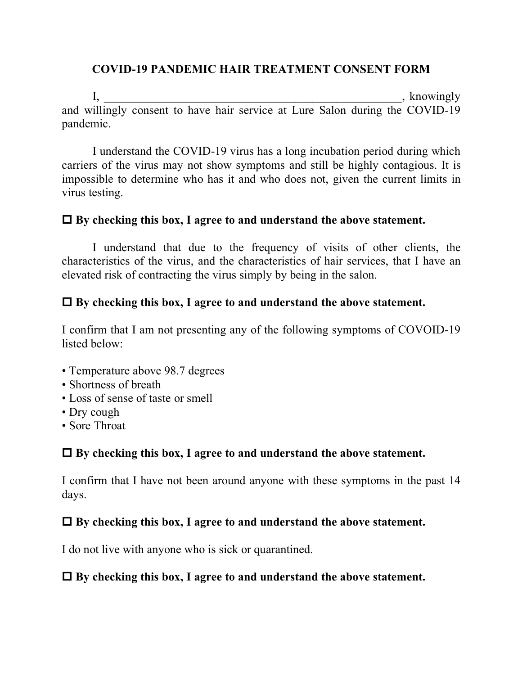# **COVID-19 PANDEMIC HAIR TREATMENT CONSENT FORM**

I, knowingly and willingly consent to have hair service at Lure Salon during the COVID-19 pandemic.

I understand the COVID-19 virus has a long incubation period during which carriers of the virus may not show symptoms and still be highly contagious. It is impossible to determine who has it and who does not, given the current limits in virus testing.

### $\Box$  By checking this box, I agree to and understand the above statement.

I understand that due to the frequency of visits of other clients, the characteristics of the virus, and the characteristics of hair services, that I have an elevated risk of contracting the virus simply by being in the salon.

### $\Box$  By checking this box, I agree to and understand the above statement.

I confirm that I am not presenting any of the following symptoms of COVOID-19 listed below:

- Temperature above 98.7 degrees
- Shortness of breath
- Loss of sense of taste or smell
- Dry cough
- Sore Throat

### $\Box$  By checking this box, I agree to and understand the above statement.

I confirm that I have not been around anyone with these symptoms in the past 14 days.

### $\Box$  By checking this box, I agree to and understand the above statement.

I do not live with anyone who is sick or quarantined.

### $\Box$  By checking this box, I agree to and understand the above statement.